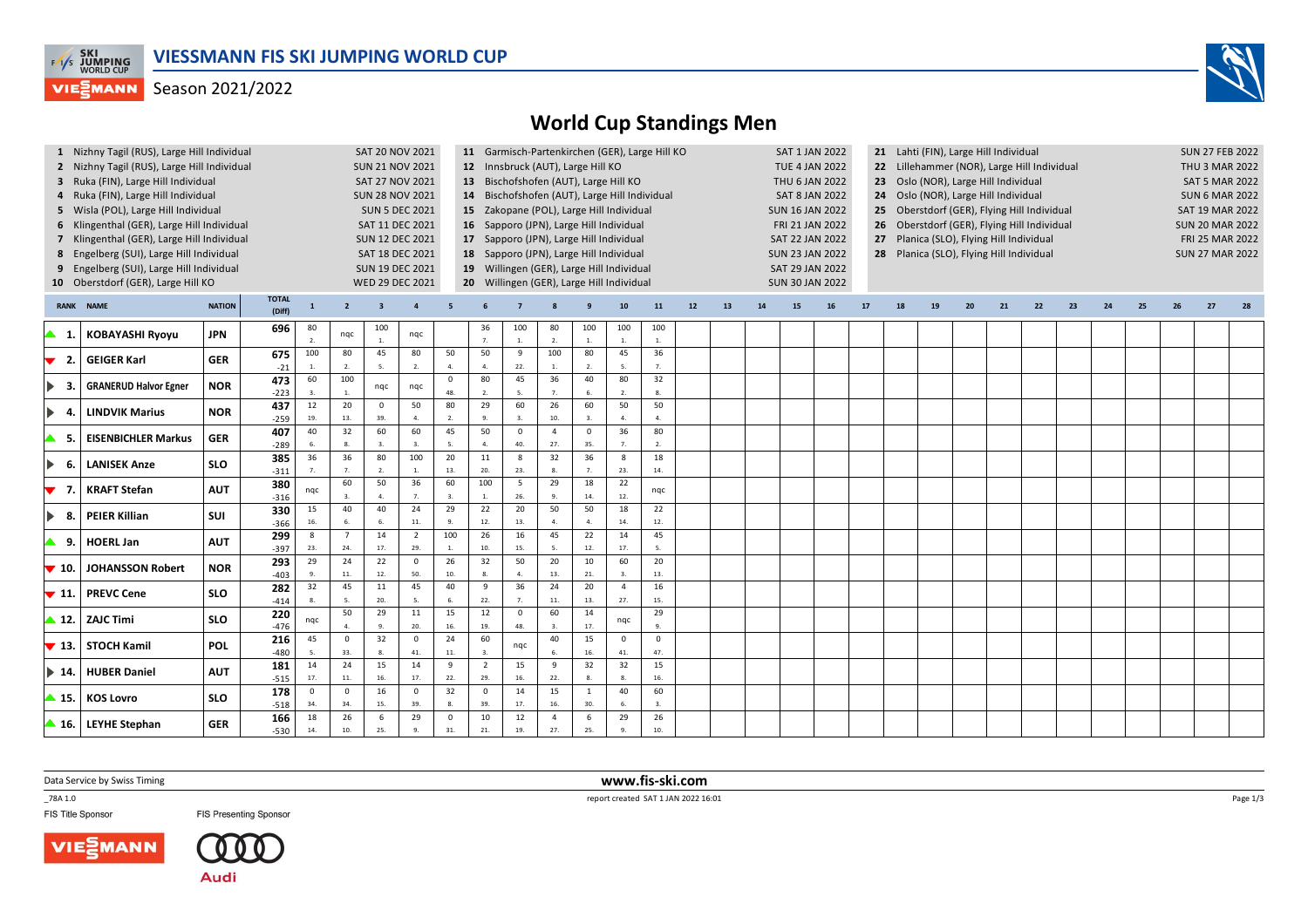

## Season 2021/2022



|                              |                      |                                                                                                                                                                                                                                                  |                                                                                                                                                              |                                             |                         | 12 Innsbruck (AUT), Large Hill KO<br>13 Bischofshofen (AUT), Large Hill KO<br>14 Bischofshofen (AUT), Large Hill Individual<br>15 Zakopane (POL), Large Hill Individual<br>16 Sapporo (JPN), Large Hill Individual<br>17 Sapporo (JPN), Large Hill Individual<br>18 Sapporo (JPN), Large Hill Individual<br>19 Willingen (GER), Large Hill Individual<br>20 Willingen (GER), Large Hill Individual |                       |                                                                                                                                                                                                                                          |                             |                        |                      |                                |                        |                |    |    |           |    |                                                                                                                                                                                                                |    | <b>SUN 27 FEB 2022</b><br>THU 3 MAR 2022<br><b>SAT 5 MAR 2022</b><br><b>SUN 6 MAR 2022</b><br><b>SAT 19 MAR 2022</b><br><b>SUN 20 MAR 2022</b><br>FRI 25 MAR 2022<br><b>SUN 27 MAR 2022</b> |    |                                                                                     |    |                                                                                                                                                                |                                                                                                                                     |    |    |                                       |  |
|------------------------------|----------------------|--------------------------------------------------------------------------------------------------------------------------------------------------------------------------------------------------------------------------------------------------|--------------------------------------------------------------------------------------------------------------------------------------------------------------|---------------------------------------------|-------------------------|----------------------------------------------------------------------------------------------------------------------------------------------------------------------------------------------------------------------------------------------------------------------------------------------------------------------------------------------------------------------------------------------------|-----------------------|------------------------------------------------------------------------------------------------------------------------------------------------------------------------------------------------------------------------------------------|-----------------------------|------------------------|----------------------|--------------------------------|------------------------|----------------|----|----|-----------|----|----------------------------------------------------------------------------------------------------------------------------------------------------------------------------------------------------------------|----|---------------------------------------------------------------------------------------------------------------------------------------------------------------------------------------------|----|-------------------------------------------------------------------------------------|----|----------------------------------------------------------------------------------------------------------------------------------------------------------------|-------------------------------------------------------------------------------------------------------------------------------------|----|----|---------------------------------------|--|
| <b>NAME</b>                  | <b>NATION</b>        | <b>TOTAL</b><br>(Diff)                                                                                                                                                                                                                           | $\mathbf{1}$                                                                                                                                                 | $\overline{2}$                              | $\overline{\mathbf{3}}$ | $\overline{a}$                                                                                                                                                                                                                                                                                                                                                                                     |                       |                                                                                                                                                                                                                                          |                             |                        |                      | 10                             | 11                     | 12             | 13 | 14 | <b>15</b> | 16 | 17                                                                                                                                                                                                             | 18 | 19                                                                                                                                                                                          | 20 | 21                                                                                  | 22 | 23                                                                                                                                                             | 24                                                                                                                                  | 25 | 26 | 27                                    |  |
| <b>KOBAYASHI Ryoyu</b>       | <b>JPN</b>           | 696                                                                                                                                                                                                                                              | 80<br>2.                                                                                                                                                     | nqc                                         | 100                     | nqc                                                                                                                                                                                                                                                                                                                                                                                                |                       | 36<br>$\overline{7}$                                                                                                                                                                                                                     | 100<br>$\mathbf{1}$ .       | 80<br>$\overline{2}$ . | 100<br>$\mathbf{1}$  | 100<br>$\overline{1}$          | 100<br>$\overline{1}$  |                |    |    |           |    |                                                                                                                                                                                                                |    |                                                                                                                                                                                             |    |                                                                                     |    |                                                                                                                                                                |                                                                                                                                     |    |    |                                       |  |
| <b>GEIGER Karl</b>           | <b>GER</b>           | 675<br>$-21$                                                                                                                                                                                                                                     | 100                                                                                                                                                          | 80<br>$\overline{2}$                        | 45<br>5                 | 80<br>2.                                                                                                                                                                                                                                                                                                                                                                                           | 50<br>$\overline{a}$  | 50<br>$\overline{a}$                                                                                                                                                                                                                     | 9<br>22.                    | 100<br>$\overline{1}$  | 80<br>$\overline{2}$ | 45                             | 36<br>$\overline{7}$   |                |    |    |           |    |                                                                                                                                                                                                                |    |                                                                                                                                                                                             |    |                                                                                     |    |                                                                                                                                                                |                                                                                                                                     |    |    |                                       |  |
| <b>GRANERUD Halvor Egner</b> | <b>NOR</b>           | 473<br>$-223$                                                                                                                                                                                                                                    | 60<br>3.                                                                                                                                                     | 100<br>$\overline{1}$                       | nqc                     | nqc                                                                                                                                                                                                                                                                                                                                                                                                | $\mathbf 0$<br>48.    | 80<br>2.                                                                                                                                                                                                                                 | 45<br>5.                    | 36<br>$\overline{7}$   | 40                   | 80<br>$\overline{2}$           | 32<br>8                |                |    |    |           |    |                                                                                                                                                                                                                |    |                                                                                                                                                                                             |    |                                                                                     |    |                                                                                                                                                                |                                                                                                                                     |    |    |                                       |  |
| <b>LINDVIK Marius</b>        | <b>NOR</b>           | 437<br>$-259$                                                                                                                                                                                                                                    | 12<br>19.                                                                                                                                                    | 20<br>13.                                   | $\Omega$<br>39.         | 50<br>4.                                                                                                                                                                                                                                                                                                                                                                                           | 80<br>$\mathfrak{D}$  | 29<br>9.                                                                                                                                                                                                                                 | 60<br>$\overline{3}$ .      | 26<br>10.              | 60<br>$\overline{3}$ | 50<br>$\overline{A}$           | 50<br>$\overline{a}$   |                |    |    |           |    |                                                                                                                                                                                                                |    |                                                                                                                                                                                             |    |                                                                                     |    |                                                                                                                                                                |                                                                                                                                     |    |    |                                       |  |
| <b>EISENBICHLER Markus</b>   | <b>GER</b>           | 407<br>$-289$                                                                                                                                                                                                                                    | 40<br>6.                                                                                                                                                     | 8.                                          | $\overline{3}$          | 3.                                                                                                                                                                                                                                                                                                                                                                                                 | 5.                    | $\overline{4}$ .                                                                                                                                                                                                                         | $\Omega$<br>40.             | $\overline{4}$<br>27.  | $\mathbf 0$<br>35.   | 36<br>$\overline{7}$           | $\overline{2}$ .       |                |    |    |           |    |                                                                                                                                                                                                                |    |                                                                                                                                                                                             |    |                                                                                     |    |                                                                                                                                                                |                                                                                                                                     |    |    |                                       |  |
| <b>LANISEK Anze</b>          | <b>SLO</b>           | 385<br>$-311$                                                                                                                                                                                                                                    | 36                                                                                                                                                           | 36                                          | 80                      | 100<br>$\mathbf{1}$                                                                                                                                                                                                                                                                                                                                                                                | 20<br>13.             | 11<br>20.                                                                                                                                                                                                                                | 8<br>23.                    | 32<br>$\mathbf{R}$     | 36                   | 8<br>23.                       | 18<br>14.              |                |    |    |           |    |                                                                                                                                                                                                                |    |                                                                                                                                                                                             |    |                                                                                     |    |                                                                                                                                                                |                                                                                                                                     |    |    |                                       |  |
| <b>KRAFT Stefan</b>          | <b>AUT</b>           | 380<br>$-316$                                                                                                                                                                                                                                    | nqc                                                                                                                                                          | 60<br>3.                                    | 50<br>$\overline{a}$    | 7.                                                                                                                                                                                                                                                                                                                                                                                                 | $\overline{3}$ .      | $\overline{1}$ .                                                                                                                                                                                                                         | 5<br>26.                    | $\mathbf{q}$           | 18<br>14.            | 22<br>12.                      | nqc                    |                |    |    |           |    |                                                                                                                                                                                                                |    |                                                                                                                                                                                             |    |                                                                                     |    |                                                                                                                                                                |                                                                                                                                     |    |    |                                       |  |
| <b>PEIER Killian</b>         | <b>SUI</b>           | $-366$                                                                                                                                                                                                                                           | 15<br>16.                                                                                                                                                    | 40<br>6.                                    | 40<br>6.                | 24<br>11.                                                                                                                                                                                                                                                                                                                                                                                          | 29<br>9.              | 22<br>12.                                                                                                                                                                                                                                | 20<br>13.                   | 50<br>4.               | 50<br>$\overline{4}$ | 18<br>14.                      | 22<br>12.              |                |    |    |           |    |                                                                                                                                                                                                                |    |                                                                                                                                                                                             |    |                                                                                     |    |                                                                                                                                                                |                                                                                                                                     |    |    |                                       |  |
| <b>HOERL Jan</b>             | <b>AUT</b>           | $-397$                                                                                                                                                                                                                                           | 8<br>23.                                                                                                                                                     | $\overline{7}$<br>24.                       | 14<br>17.               | $\overline{2}$<br>29.                                                                                                                                                                                                                                                                                                                                                                              |                       | 10.                                                                                                                                                                                                                                      | 15.                         | 45<br>5.               | 22<br>12.            | 14<br>17.                      | 5                      |                |    |    |           |    |                                                                                                                                                                                                                |    |                                                                                                                                                                                             |    |                                                                                     |    |                                                                                                                                                                |                                                                                                                                     |    |    |                                       |  |
| <b>JOHANSSON Robert</b>      | <b>NOR</b>           | 293<br>$-403$                                                                                                                                                                                                                                    | 29<br>9.                                                                                                                                                     | 24<br>$11.$                                 | 22<br>12.               | $\circ$<br>50.                                                                                                                                                                                                                                                                                                                                                                                     | 26<br>10.             | 8.                                                                                                                                                                                                                                       | $\overline{4}$              | 13.                    | 10<br>21.            | 60<br>$\overline{3}$           | 20<br>13.              |                |    |    |           |    |                                                                                                                                                                                                                |    |                                                                                                                                                                                             |    |                                                                                     |    |                                                                                                                                                                |                                                                                                                                     |    |    |                                       |  |
| <b>PREVC Cene</b>            | <b>SLO</b>           | 282<br>$-414$                                                                                                                                                                                                                                    | 32<br>8.                                                                                                                                                     | -5.                                         | 20.                     | 5.                                                                                                                                                                                                                                                                                                                                                                                                 |                       | $\mathbf{q}$<br>22.                                                                                                                                                                                                                      |                             | 24<br>11.              | 20<br>13.            | $\overline{4}$<br>27.          | 16<br>15.              |                |    |    |           |    |                                                                                                                                                                                                                |    |                                                                                                                                                                                             |    |                                                                                     |    |                                                                                                                                                                |                                                                                                                                     |    |    |                                       |  |
| <b>ZAJC Timi</b>             | <b>SLO</b>           | $-476$                                                                                                                                                                                                                                           | nqc                                                                                                                                                          | $\overline{a}$                              |                         | 20.                                                                                                                                                                                                                                                                                                                                                                                                | 16.                   | 19.                                                                                                                                                                                                                                      | $\mathbf 0$<br>48.          | $\overline{3}$         | 14<br>17.            | ngc                            | $\alpha$               |                |    |    |           |    |                                                                                                                                                                                                                |    |                                                                                                                                                                                             |    |                                                                                     |    |                                                                                                                                                                |                                                                                                                                     |    |    |                                       |  |
| STOCH Kamil                  | <b>POL</b>           | 216<br>$-480$                                                                                                                                                                                                                                    | 45<br>5.                                                                                                                                                     | $\overline{\mathbf{0}}$<br>33.              | 32<br>8                 | $\mathsf 0$<br>41.                                                                                                                                                                                                                                                                                                                                                                                 | 24<br>11.             | 60<br>3.                                                                                                                                                                                                                                 | nqc                         | 40<br>6.               | 15<br>16.            | $\overline{\mathbf{0}}$<br>41. | $\mathsf 0$<br>47.     |                |    |    |           |    |                                                                                                                                                                                                                |    |                                                                                                                                                                                             |    |                                                                                     |    |                                                                                                                                                                |                                                                                                                                     |    |    |                                       |  |
| <b>HUBER Daniel</b>          | <b>AUT</b>           | 181<br>$-515$                                                                                                                                                                                                                                    | 14<br>17.                                                                                                                                                    | 24<br>$11.$                                 | 15<br>16.               | 14<br>17.                                                                                                                                                                                                                                                                                                                                                                                          | $\overline{9}$<br>22. | $\overline{2}$<br>29.                                                                                                                                                                                                                    | 15<br>16.                   | 9<br>22.               | 32<br>$\mathbf{a}$   | 32<br>$\circ$                  | 15<br>16.              |                |    |    |           |    |                                                                                                                                                                                                                |    |                                                                                                                                                                                             |    |                                                                                     |    |                                                                                                                                                                |                                                                                                                                     |    |    |                                       |  |
| <b>KOS Lovro</b>             | <b>SLO</b>           | 178<br>$-518$                                                                                                                                                                                                                                    | $\mathbf 0$<br>34.                                                                                                                                           | $\Omega$<br>34.                             | 16<br>15.               | $\mathbf 0$<br>39.                                                                                                                                                                                                                                                                                                                                                                                 | 32<br>8.              | $\mathbf{0}$<br>39.                                                                                                                                                                                                                      | 14<br>17.                   | 15<br>16.              | $\mathbf{1}$<br>30.  | 40<br>$\mathsf{f}$             | 60<br>$\overline{3}$ . |                |    |    |           |    |                                                                                                                                                                                                                |    |                                                                                                                                                                                             |    |                                                                                     |    |                                                                                                                                                                |                                                                                                                                     |    |    |                                       |  |
|                              |                      | 166                                                                                                                                                                                                                                              | 18                                                                                                                                                           | 26                                          | 6                       | 29                                                                                                                                                                                                                                                                                                                                                                                                 | $\mathbf 0$           | 10                                                                                                                                                                                                                                       | 12                          | $\overline{4}$         | 6                    | 29                             | 26                     |                |    |    |           |    |                                                                                                                                                                                                                |    |                                                                                                                                                                                             |    |                                                                                     |    |                                                                                                                                                                |                                                                                                                                     |    |    |                                       |  |
|                              | $\blacktriangle$ 12. | 3 Ruka (FIN), Large Hill Individual<br>4 Ruka (FIN), Large Hill Individual<br>5 Wisla (POL), Large Hill Individual<br>8 Engelberg (SUI), Large Hill Individual<br>9 Engelberg (SUI), Large Hill Individual<br>10 Oberstdorf (GER), Large Hill KO | 2 Nizhny Tagil (RUS), Large Hill Individual<br>6 Klingenthal (GER), Large Hill Individual<br>7 Klingenthal (GER), Large Hill Individual<br>330<br>299<br>220 | 1 Nizhny Tagil (RUS), Large Hill Individual | 32<br>45<br>50          | 60<br>11<br>29                                                                                                                                                                                                                                                                                                                                                                                     | 60<br>36<br>45<br>11  | <b>SUN 21 NOV 2021</b><br>SAT 27 NOV 2021<br><b>SUN 28 NOV 2021</b><br><b>SUN 5 DEC 2021</b><br>SAT 11 DEC 2021<br><b>SUN 12 DEC 2021</b><br>SAT 18 DEC 2021<br><b>SUN 19 DEC 2021</b><br>WED 29 DEC 2021<br>45<br>60<br>100<br>40<br>15 | 50<br>100<br>26<br>32<br>12 | 16<br>50<br>36         | 29<br>20<br>60       |                                |                        | 80<br>45<br>29 |    |    |           |    | <b>TUE 4 JAN 2022</b><br>THU 6 JAN 2022<br><b>SAT 8 JAN 2022</b><br><b>SUN 16 JAN 2022</b><br>FRI 21 JAN 2022<br><b>SAT 22 JAN 2022</b><br><b>SUN 23 JAN 2022</b><br>SAT 29 JAN 2022<br><b>SUN 30 JAN 2022</b> |    | 23<br>24<br>25<br>26                                                                                                                                                                        |    | SAT 20 NOV 2021<br>SAT 1 JAN 2022<br>11 Garmisch-Partenkirchen (GER), Large Hill KO |    | Oslo (NOR), Large Hill Individual<br>Oslo (NOR), Large Hill Individual<br>27 Planica (SLO), Flying Hill Individual<br>28 Planica (SLO), Flying Hill Individual | 22 Lillehammer (NOR), Large Hill Individual<br>Oberstdorf (GER), Flying Hill Individual<br>Oberstdorf (GER), Flying Hill Individual |    |    | 21 Lahti (FIN), Large Hill Individual |  |

Data Service by Swiss Timing

\_78A 1.0

FIS Title Sponsor





**FIS Presenting Sponsor** 

 **www.fis-ski.com**report created SAT 1 JAN 2022 16:01

Page 1/3

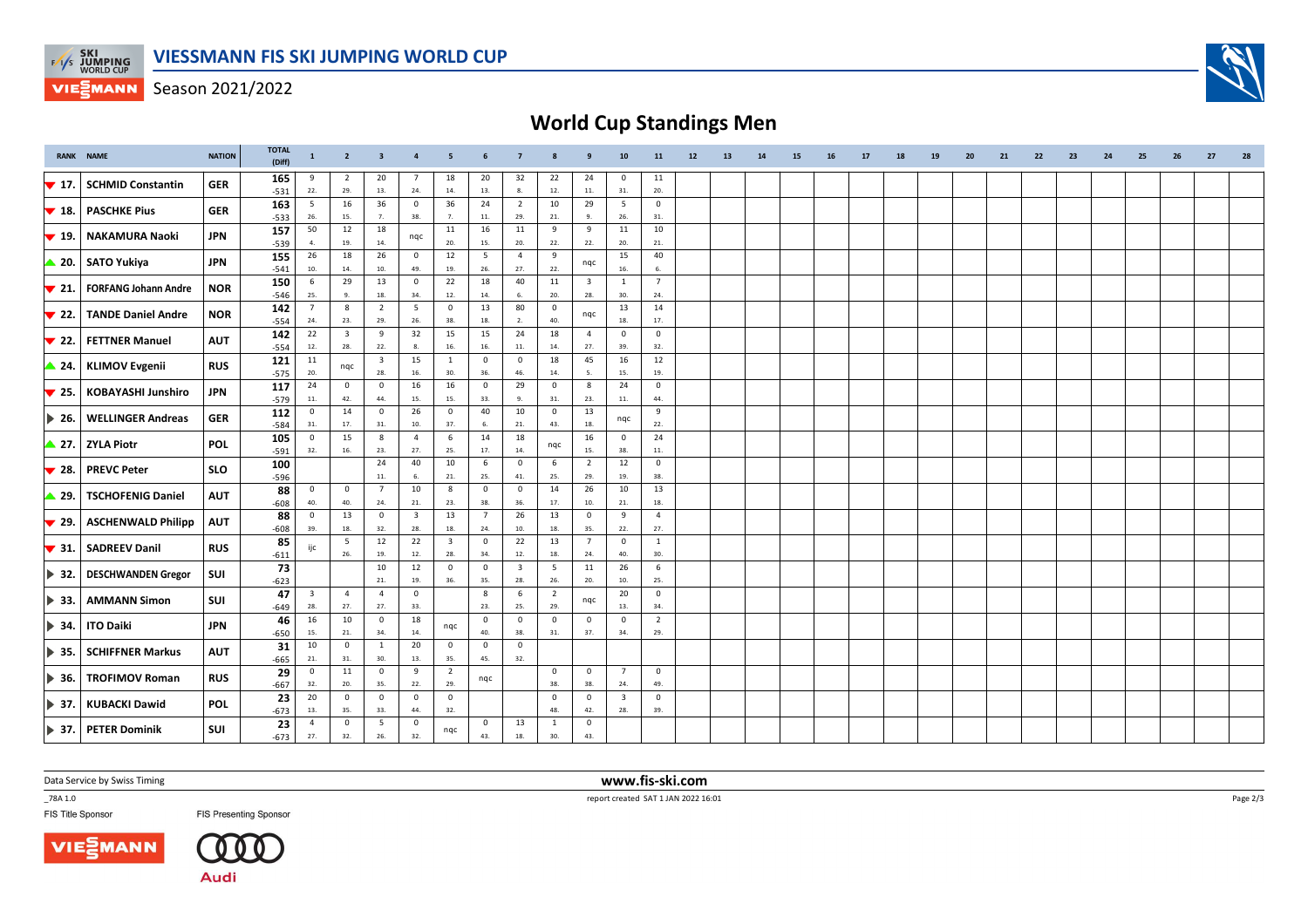

Season 2021/2022

## **World Cup Standings Men**

|                           | <b>RANK NAME</b>            | <b>NATION</b> | <b>TOTAL</b><br>(Diff) | $\mathbf{1}$            | $\overline{2}$          | $\overline{\mathbf{3}}$ | $\overline{4}$          | 5                       |                    |                                     |                |                         | 10                      | 11                      | 12 | 13 | 14 | 15 | 16 | 17 | 18 | 19 | 20 | 21 | 22 | 23 | 24 | 25 | 26 | 27 | 28 |
|---------------------------|-----------------------------|---------------|------------------------|-------------------------|-------------------------|-------------------------|-------------------------|-------------------------|--------------------|-------------------------------------|----------------|-------------------------|-------------------------|-------------------------|----|----|----|----|----|----|----|----|----|----|----|----|----|----|----|----|----|
| $\blacktriangledown$ 17.  | <b>SCHMID Constantin</b>    | <b>GER</b>    | 165                    | 9<br>22.                | 2<br>29.                | 20<br>13.               | 7<br>24.                | 18<br>14.               | 20<br>13.          | 32<br>8.                            | 22<br>12.      | 24<br>11.               | $\mathbf 0$<br>31.      | 11<br>20.               |    |    |    |    |    |    |    |    |    |    |    |    |    |    |    |    |    |
|                           |                             |               | $-531$                 | 5                       | 16                      | 36                      | $\mathbf 0$             | 36                      | 24                 | $\overline{2}$                      | 10             | 29                      | 5                       | $\mathbf 0$             |    |    |    |    |    |    |    |    |    |    |    |    |    |    |    |    |    |
| $\blacktriangledown$ 18.  | <b>PASCHKE Pius</b>         | <b>GER</b>    | 163<br>$-533$          | 26.                     | 15.                     | 7.                      | 38.                     | 7.                      | $11.$              | 29.                                 | 21.            | -9.                     | 26.                     | 31.                     |    |    |    |    |    |    |    |    |    |    |    |    |    |    |    |    |    |
|                           |                             |               | 157                    | 50                      | 12                      | 18                      |                         | 11                      | 16                 | 11                                  | 9              | 9                       | 11                      | 10                      |    |    |    |    |    |    |    |    |    |    |    |    |    |    |    |    |    |
| $\blacktriangledown$ 19.  | <b>NAKAMURA Naoki</b>       | JPN           | $-539$                 | 4.                      | 19.                     | 14.                     | nqc                     | 20.                     | 15.                | 20.                                 | 22.            | 22.                     | 20.                     | 21.                     |    |    |    |    |    |    |    |    |    |    |    |    |    |    |    |    |    |
|                           | $\triangle$ 20. SATO Yukiya | <b>JPN</b>    | 155                    | 26                      | 18                      | 26                      | $\mathbf 0$             | 12                      | 5                  | $\overline{4}$                      | 9              |                         | 15                      | 40                      |    |    |    |    |    |    |    |    |    |    |    |    |    |    |    |    |    |
|                           |                             |               | $-541$                 | 10.                     | 14.                     | 10.                     | 49.                     | 19.                     | 26.                | 27.                                 | 22.            | nqc                     | 16.                     | 6.                      |    |    |    |    |    |    |    |    |    |    |    |    |    |    |    |    |    |
| $\blacktriangledown$ 21.  | <b>FORFANG Johann Andre</b> | <b>NOR</b>    | 150                    | - 6                     | 29                      | 13                      | $\mathbf 0$             | 22                      | 18                 | 40                                  | 11             | $\overline{\mathbf{3}}$ | $\mathbf{1}$            | $\overline{7}$          |    |    |    |    |    |    |    |    |    |    |    |    |    |    |    |    |    |
|                           |                             |               | $-546$                 | 25.                     | 9.                      | 18.                     | 34.                     | 12.                     | 14.                | 6.                                  | 20.            | 28.                     | 30.                     | 24.                     |    |    |    |    |    |    |    |    |    |    |    |    |    |    |    |    |    |
| $\blacktriangledown$ 22.  | <b>TANDE Daniel Andre</b>   | <b>NOR</b>    | 142                    | $\overline{7}$          | 8                       | $\overline{2}$          | - 5                     | $\mathbf 0$             | 13                 | 80                                  | $\mathbf{0}$   | nqc                     | 13                      | 14                      |    |    |    |    |    |    |    |    |    |    |    |    |    |    |    |    |    |
|                           |                             |               | $-554$                 | 24.                     | 23.                     | 29.                     | 26.                     | 38.                     | 18.                | 2.                                  | 40.            |                         | 18.                     | 17.                     |    |    |    |    |    |    |    |    |    |    |    |    |    |    |    |    |    |
| $\blacktriangledown$ 22.  | <b>FETTNER Manuel</b>       | <b>AUT</b>    | 142                    | 22                      | $\overline{\mathbf{3}}$ | 9                       | 32                      | 15                      | 15                 | 24                                  | 18             | $\overline{4}$          | $\mathbf{0}$            | $\mathsf 0$             |    |    |    |    |    |    |    |    |    |    |    |    |    |    |    |    |    |
|                           |                             |               | $-554$                 | 12.                     | 28.                     | 22.                     | 8.                      | 16.                     | 16.                | 11.                                 | 14.            | 27.                     | 39.                     | 32.                     |    |    |    |    |    |    |    |    |    |    |    |    |    |    |    |    |    |
| $\triangle$ 24.           | <b>KLIMOV Evgenii</b>       | <b>RUS</b>    | 121                    | 11                      | nqc                     | $\overline{\mathbf{3}}$ | 15                      | $\mathbf{1}$            | $\mathbf 0$        | $\mathsf 0$                         | 18             | 45                      | 16                      | 12                      |    |    |    |    |    |    |    |    |    |    |    |    |    |    |    |    |    |
|                           |                             |               | $-575$                 | 20.                     |                         | 28.                     | 16.                     | 30.                     | 36.                | 46.                                 | 14.            | 5.                      | 15.                     | 19.                     |    |    |    |    |    |    |    |    |    |    |    |    |    |    |    |    |    |
| $\blacktriangledown$ 25.  | <b>KOBAYASHI Junshiro</b>   | <b>JPN</b>    | 117                    | 24                      | $\mathbf{0}$            | $\overline{\mathbf{0}}$ | 16                      | 16                      | $\mathbf 0$        | 29                                  | $\mathbf{0}$   | 8                       | 24                      | $\overline{\mathbf{0}}$ |    |    |    |    |    |    |    |    |    |    |    |    |    |    |    |    |    |
|                           |                             |               | $-579$                 | 11.                     | 42.                     | 44.                     | 15.                     | 15.                     | 33.                | 9.                                  | 31.            | 23.                     | 11.                     | 44.                     |    |    |    |    |    |    |    |    |    |    |    |    |    |    |    |    |    |
| $\blacktriangleright$ 26. | <b>WELLINGER Andreas</b>    | <b>GER</b>    | 112                    | $\overline{0}$          | 14                      | $\overline{\mathbf{0}}$ | 26                      | $\mathbf 0$             | 40                 | 10                                  | $\mathbf{0}$   | 13                      | nqc                     | 9                       |    |    |    |    |    |    |    |    |    |    |    |    |    |    |    |    |    |
|                           |                             |               | $-584$                 | 31.                     | 17.                     | 31.                     | 10.                     | 37.                     | 6.                 | 21.                                 | 43.            | 18.                     |                         | 22.                     |    |    |    |    |    |    |    |    |    |    |    |    |    |    |    |    |    |
|                           | 27. ZYLA Piotr              | <b>POL</b>    | 105                    | $\mathbf 0$             | 15                      | 8                       | $\overline{4}$          | $\,$ 6 $\,$             | 14                 | 18                                  | nqc            | 16                      | $\mathbf{0}$            | ${\bf 24}$              |    |    |    |    |    |    |    |    |    |    |    |    |    |    |    |    |    |
|                           |                             |               | $-591$                 | 32.                     | 16.                     | 23.                     | 27.                     | 25.                     | 17.                | 14.                                 |                | 15.                     | 38.                     | 11.                     |    |    |    |    |    |    |    |    |    |    |    |    |    |    |    |    |    |
| $\blacktriangledown$ 28.  | <b>PREVC Peter</b>          | <b>SLO</b>    | 100                    |                         |                         | 24                      | 40                      | 10                      | 6                  | $\mathsf 0$                         | 6              | $\overline{2}$          | 12                      | $\mathsf 0$             |    |    |    |    |    |    |    |    |    |    |    |    |    |    |    |    |    |
|                           |                             |               | $-596$                 |                         |                         | 11.                     | 6.                      | 21.                     | 25.                | 41.                                 | 25.            | 29.                     | 19.                     | 38.                     |    |    |    |    |    |    |    |    |    |    |    |    |    |    |    |    |    |
| ▲ 29.                     | <b>TSCHOFENIG Daniel</b>    | <b>AUT</b>    | 88                     | $\overline{0}$          | $\overline{0}$          | $\overline{7}$          | 10                      | 8                       | $\circ$            | $\mathbf 0$                         | 14             | 26                      | 10                      | 13                      |    |    |    |    |    |    |    |    |    |    |    |    |    |    |    |    |    |
|                           |                             |               | $-608$                 | 40.                     | 40.                     | 24.                     | $21.$                   | 23.                     | 38.                | 36.                                 | 17.            | 10.                     | 21.                     | 18.                     |    |    |    |    |    |    |    |    |    |    |    |    |    |    |    |    |    |
| $\blacktriangledown$ 29.  | <b>ASCHENWALD Philipp</b>   | <b>AUT</b>    | 88                     | $\overline{0}$          | 13                      | $\overline{\mathbf{0}}$ | $\overline{\mathbf{3}}$ | 13                      | $\overline{7}$     | 26                                  | 13             | $\overline{\mathbf{0}}$ | 9                       | $\overline{4}$          |    |    |    |    |    |    |    |    |    |    |    |    |    |    |    |    |    |
|                           |                             |               | $-608$                 | 39.                     | 18.                     | 32.                     | 28.                     | 18.                     | 24.                | 10.                                 | 18.            | 35.                     | 22.                     | 27.                     |    |    |    |    |    |    |    |    |    |    |    |    |    |    |    |    |    |
| $\blacktriangledown$ 31.  | <b>SADREEV Danil</b>        | <b>RUS</b>    | 85                     | ijc                     | 5                       | 12                      | 22                      | $\overline{\mathbf{3}}$ | $\circ$            | 22                                  | 13             | $7\overline{ }$         | $\mathbf{0}$            | $\mathbf 1$             |    |    |    |    |    |    |    |    |    |    |    |    |    |    |    |    |    |
|                           |                             |               | $-611$                 |                         | 26.                     | 19.<br>10               | 12.                     | 28.<br>$\mathbf 0$      | 34.<br>$\mathbf 0$ | $12. \,$<br>$\overline{\mathbf{3}}$ | 18.<br>5       | 24.                     | 40.                     | 30.<br>6                |    |    |    |    |    |    |    |    |    |    |    |    |    |    |    |    |    |
| $\blacktriangleright$ 32. | <b>DESCHWANDEN Gregor</b>   | SUI           | 73                     |                         |                         | 21.                     | 12                      | 36.                     | 35.                | 28.                                 | 26.            | 11<br>20.               | 26<br>10.               | 25.                     |    |    |    |    |    |    |    |    |    |    |    |    |    |    |    |    |    |
|                           |                             |               | $-623$                 | $\overline{\mathbf{3}}$ | $\overline{4}$          | $\overline{4}$          | 19.<br>$\mathbf 0$      |                         | 8                  | 6                                   | $\overline{2}$ |                         | 20                      | $\mathsf 0$             |    |    |    |    |    |    |    |    |    |    |    |    |    |    |    |    |    |
| $\blacktriangleright$ 33. | <b>AMMANN Simon</b>         | SUI           | 47                     | 28.                     | 27.                     | 27.                     | 33.                     |                         | 23.                | 25.                                 | 29.            | nqc                     | 13.                     | 34.                     |    |    |    |    |    |    |    |    |    |    |    |    |    |    |    |    |    |
|                           |                             |               | $-649$                 | 16                      | 10                      | $\overline{\mathbf{0}}$ | 18                      |                         | $\circ$            | $\mathsf 0$                         | $\mathsf 0$    | $\mathbf 0$             | $\mathbf 0$             | $\overline{2}$          |    |    |    |    |    |    |    |    |    |    |    |    |    |    |    |    |    |
| $\blacktriangleright$ 34. | <b>ITO Daiki</b>            | <b>JPN</b>    | 46                     | 15.                     | 21.                     | 34.                     | 14.                     | nqc                     | 40.                | 38.                                 | 31.            | 37.                     | 34.                     | 29.                     |    |    |    |    |    |    |    |    |    |    |    |    |    |    |    |    |    |
|                           |                             |               | $-650$                 | 10                      | $\mathbf 0$             | 1                       | 20                      | $\mathbf 0$             | $\mathbf 0$        | $\mathsf 0$                         |                |                         |                         |                         |    |    |    |    |    |    |    |    |    |    |    |    |    |    |    |    |    |
| $\blacktriangleright$ 35. | <b>SCHIFFNER Markus</b>     | <b>AUT</b>    | 31                     | 21.                     | 31.                     | 30.                     | 13.                     | 35.                     | 45.                | 32.                                 |                |                         |                         |                         |    |    |    |    |    |    |    |    |    |    |    |    |    |    |    |    |    |
|                           |                             |               | $-665$                 | $\overline{0}$          | 11                      | $\overline{\mathbf{0}}$ | 9                       | $\overline{2}$          |                    |                                     | $\mathbf 0$    | $\overline{0}$          | $\overline{7}$          | $\mathsf 0$             |    |    |    |    |    |    |    |    |    |    |    |    |    |    |    |    |    |
| $\blacktriangleright$ 36. | <b>TROFIMOV Roman</b>       | <b>RUS</b>    | 29<br>$-667$           | 32.                     | 20.                     | 35.                     | 22.                     | 29.                     | nqc                |                                     | 38.            | 38.                     | 24.                     | 49.                     |    |    |    |    |    |    |    |    |    |    |    |    |    |    |    |    |    |
|                           |                             |               | 23                     | 20                      | $\mathbf 0$             | $\overline{\mathbf{0}}$ | $\mathbf 0$             | $\mathbf 0$             |                    |                                     | $\overline{0}$ | $\mathbf 0$             | $\overline{\mathbf{3}}$ | $\mathbf 0$             |    |    |    |    |    |    |    |    |    |    |    |    |    |    |    |    |    |
| $\blacktriangleright$ 37. | <b>KUBACKI Dawid</b>        | <b>POL</b>    | $-673$                 | 13.                     | 35.                     | 33.                     | 44.                     | 32.                     |                    |                                     | 48.            | 42.                     | 28.                     | 39.                     |    |    |    |    |    |    |    |    |    |    |    |    |    |    |    |    |    |
|                           |                             |               | 23                     | $\overline{4}$          | $\mathbf 0$             | 5                       | $\mathbf 0$             |                         | $\mathbf 0$        | 13                                  | 1              | $\mathsf 0$             |                         |                         |    |    |    |    |    |    |    |    |    |    |    |    |    |    |    |    |    |
|                           | > 37. PETER Dominik         | SUI           | $-673$                 | 27.                     | 32.                     | 26.                     | 32.                     | nqc                     | 43.                | 18.                                 | 30.            | 43.                     |                         |                         |    |    |    |    |    |    |    |    |    |    |    |    |    |    |    |    |    |

Data Service by Swiss Timing

\_78A 1.0

FIS Title Sponsor





**FIS Presenting Sponsor** 

 **www.fis-ski.com**report created SAT 1 JAN 2022 16:01